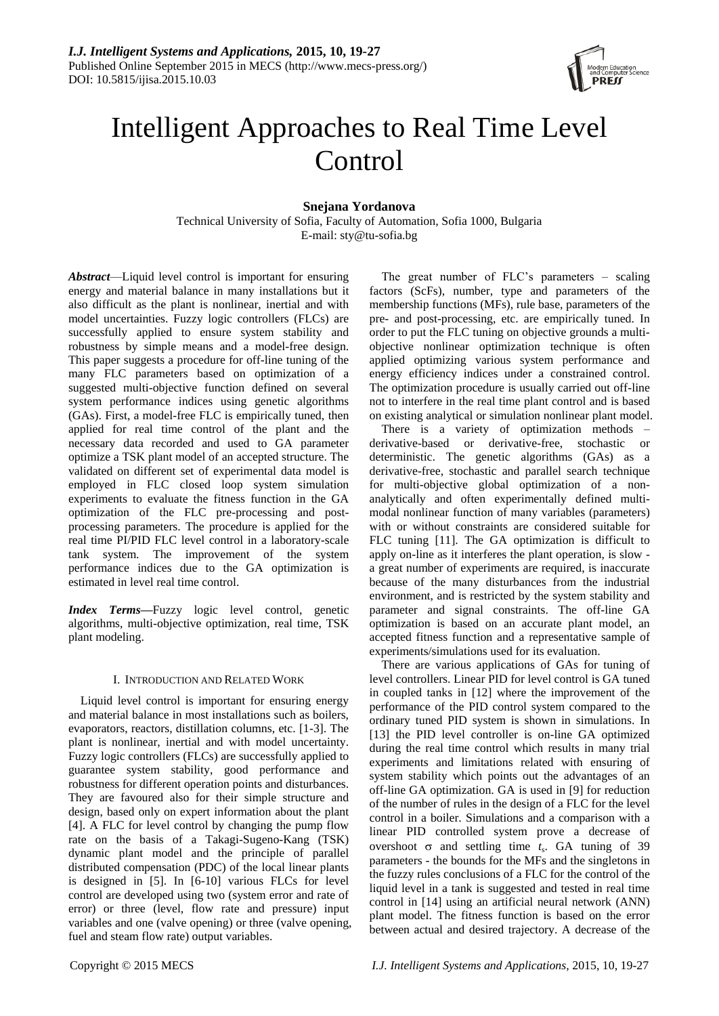

# Intelligent Approaches to Real Time Level **Control**

## **Snejana Yordanova**

Technical University of Sofia, Faculty of Automation, Sofia 1000, Bulgaria E-mail: sty@tu-sofia.bg

*Abstract*—Liquid level control is important for ensuring energy and material balance in many installations but it also difficult as the plant is nonlinear, inertial and with model uncertainties. Fuzzy logic controllers (FLCs) are successfully applied to ensure system stability and robustness by simple means and a model-free design. This paper suggests a procedure for off-line tuning of the many FLC parameters based on optimization of a suggested multi-objective function defined on several system performance indices using genetic algorithms (GAs). First, a model-free FLC is empirically tuned, then applied for real time control of the plant and the necessary data recorded and used to GA parameter optimize a TSK plant model of an accepted structure. The validated on different set of experimental data model is employed in FLC closed loop system simulation experiments to evaluate the fitness function in the GA optimization of the FLC pre-processing and postprocessing parameters. The procedure is applied for the real time PI/PID FLC level control in a laboratory-scale tank system. The improvement of the system performance indices due to the GA optimization is estimated in level real time control.

*Index Terms***—**Fuzzy logic level control, genetic algorithms, multi-objective optimization, real time, TSK plant modeling.

## I. INTRODUCTION AND RELATED WORK

Liquid level control is important for ensuring energy and material balance in most installations such as boilers, evaporators, reactors, distillation columns, etc. [1-3]. The plant is nonlinear, inertial and with model uncertainty. Fuzzy logic controllers (FLCs) are successfully applied to guarantee system stability, good performance and robustness for different operation points and disturbances. They are favoured also for their simple structure and design, based only on expert information about the plant [4]. A FLC for level control by changing the pump flow rate on the basis of a Takagi-Sugeno-Kang (TSK) dynamic plant model and the principle of parallel distributed compensation (PDC) of the local linear plants is designed in [5]. In [6-10] various FLCs for level control are developed using two (system error and rate of error) or three (level, flow rate and pressure) input variables and one (valve opening) or three (valve opening, fuel and steam flow rate) output variables.

The great number of FLC's parameters – scaling factors (ScFs), number, type and parameters of the membership functions (MFs), rule base, parameters of the pre- and post-processing, etc. are empirically tuned. In order to put the FLC tuning on objective grounds a multiobjective nonlinear optimization technique is often applied optimizing various system performance and energy efficiency indices under a constrained control. The optimization procedure is usually carried out off-line not to interfere in the real time plant control and is based on existing analytical or simulation nonlinear plant model.

There is a variety of optimization methods – derivative-based or derivative-free, stochastic or deterministic. The genetic algorithms (GAs) as a derivative-free, stochastic and parallel search technique for multi-objective global optimization of a nonanalytically and often experimentally defined multimodal nonlinear function of many variables (parameters) with or without constraints are considered suitable for FLC tuning [11]. The GA optimization is difficult to apply on-line as it interferes the plant operation, is slow a great number of experiments are required, is inaccurate because of the many disturbances from the industrial environment, and is restricted by the system stability and parameter and signal constraints. The off-line GA optimization is based on an accurate plant model, an accepted fitness function and a representative sample of experiments/simulations used for its evaluation.

There are various applications of GAs for tuning of level controllers. Linear PID for level control is GA tuned in coupled tanks in [12] where the improvement of the performance of the PID control system compared to the ordinary tuned PID system is shown in simulations. In [13] the PID level controller is on-line GA optimized during the real time control which results in many trial experiments and limitations related with ensuring of system stability which points out the advantages of an off-line GA optimization. GA is used in [9] for reduction of the number of rules in the design of a FLC for the level control in a boiler. Simulations and a comparison with a linear PID controlled system prove a decrease of overshoot  $\sigma$  and settling time  $t_s$ . GA tuning of 39 parameters - the bounds for the MFs and the singletons in the fuzzy rules conclusions of a FLC for the control of the liquid level in a tank is suggested and tested in real time control in [14] using an artificial neural network (ANN) plant model. The fitness function is based on the error between actual and desired trajectory. A decrease of the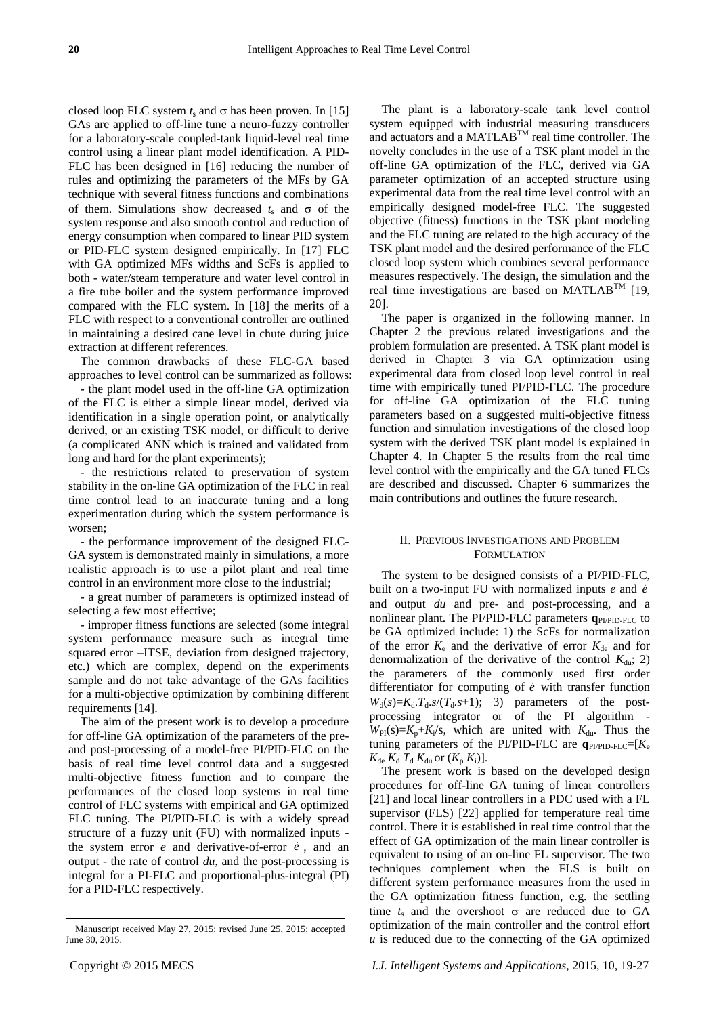closed loop FLC system  $t_s$  and  $\sigma$  has been proven. In [15] GAs are applied to off-line tune a neuro-fuzzy controller for a laboratory-scale coupled-tank liquid-level real time control using a linear plant model identification. A PID-FLC has been designed in [16] reducing the number of rules and optimizing the parameters of the MFs by GA technique with several fitness functions and combinations of them. Simulations show decreased  $t_s$  and  $\sigma$  of the system response and also smooth control and reduction of energy consumption when compared to linear PID system or PID-FLC system designed empirically. In [17] FLC with GA optimized MFs widths and ScFs is applied to both - water/steam temperature and water level control in a fire tube boiler and the system performance improved compared with the FLC system. In [18] the merits of a FLC with respect to a conventional controller are outlined in maintaining a desired cane level in chute during juice extraction at different references.

The common drawbacks of these FLC-GA based approaches to level control can be summarized as follows:

- the plant model used in the off-line GA optimization of the FLC is either a simple linear model, derived via identification in a single operation point, or analytically derived, or an existing TSK model, or difficult to derive (a complicated ANN which is trained and validated from long and hard for the plant experiments);

- the restrictions related to preservation of system stability in the on-line GA optimization of the FLC in real time control lead to an inaccurate tuning and a long experimentation during which the system performance is worsen;

- the performance improvement of the designed FLC-GA system is demonstrated mainly in simulations, a more realistic approach is to use a pilot plant and real time control in an environment more close to the industrial;

- a great number of parameters is optimized instead of selecting a few most effective;

- improper fitness functions are selected (some integral system performance measure such as integral time squared error –ITSE, deviation from designed trajectory, etc.) which are complex, depend on the experiments sample and do not take advantage of the GAs facilities for a multi-objective optimization by combining different requirements [14].

The aim of the present work is to develop a procedure for off-line GA optimization of the parameters of the preand post-processing of a model-free PI/PID-FLC on the basis of real time level control data and a suggested multi-objective fitness function and to compare the performances of the closed loop systems in real time control of FLC systems with empirical and GA optimized FLC tuning. The PI/PID-FLC is with a widely spread structure of a fuzzy unit (FU) with normalized inputs the system error  $e$  and derivative-of-error  $\dot{e}$ , and an output - the rate of control *du*, and the post-processing is integral for a PI-FLC and proportional-plus-integral (PI) for a PID-FLC respectively.

The plant is a laboratory-scale tank level control system equipped with industrial measuring transducers and actuators and a MATLABTM real time controller. The novelty concludes in the use of a TSK plant model in the off-line GA optimization of the FLC, derived via GA parameter optimization of an accepted structure using experimental data from the real time level control with an empirically designed model-free FLC. The suggested objective (fitness) functions in the TSK plant modeling and the FLC tuning are related to the high accuracy of the TSK plant model and the desired performance of the FLC closed loop system which combines several performance measures respectively. The design, the simulation and the real time investigations are based on MATLABTM [19, 20].

The paper is organized in the following manner. In Chapter 2 the previous related investigations and the problem formulation are presented. A TSK plant model is derived in Chapter 3 via GA optimization using experimental data from closed loop level control in real time with empirically tuned PI/PID-FLC. The procedure for off-line GA optimization of the FLC tuning parameters based on a suggested multi-objective fitness function and simulation investigations of the closed loop system with the derived TSK plant model is explained in Chapter 4. In Chapter 5 the results from the real time level control with the empirically and the GA tuned FLCs are described and discussed. Chapter 6 summarizes the main contributions and outlines the future research.

## II. PREVIOUS INVESTIGATIONS AND PROBLEM FORMULATION

The system to be designed consists of a PI/PID-FLC, built on a two-input FU with normalized inputs *e* and *e* and output *du* and pre- and post-processing, and a nonlinear plant. The PI/PID-FLC parameters **q**PI/PID-FLC to be GA optimized include: 1) the ScFs for normalization of the error  $K_e$  and the derivative of error  $K_{de}$  and for denormalization of the derivative of the control  $K_{\text{du}}$ ; 2) the parameters of the commonly used first order differentiator for computing of  $\dot{e}$  with transfer function  $W_d(s) = K_d \cdot T_d \cdot s / (T_d \cdot s + 1);$  3) parameters of the postprocessing integrator or of the PI algorithm -  $W_{\text{PI}}(s) = K_p + K_i/s$ , which are united with  $K_{\text{du}}$ . Thus the tuning parameters of the PI/PID-FLC are  $q_{PI/PID-FLC} = [K_e]$  $K_{\text{de}} K_{\text{d}} T_{\text{d}} K_{\text{du}}$  or  $(K_{\text{p}} K_{\text{i}})$ ].

The present work is based on the developed design procedures for off-line GA tuning of linear controllers [21] and local linear controllers in a PDC used with a FL supervisor (FLS) [22] applied for temperature real time control. There it is established in real time control that the effect of GA optimization of the main linear controller is equivalent to using of an on-line FL supervisor. The two techniques complement when the FLS is built on different system performance measures from the used in the GA optimization fitness function, e.g. the settling time  $t_s$  and the overshoot  $\sigma$  are reduced due to GA optimization of the main controller and the control effort *u* is reduced due to the connecting of the GA optimized

Manuscript received May 27, 2015; revised June 25, 2015; accepted June 30, 2015.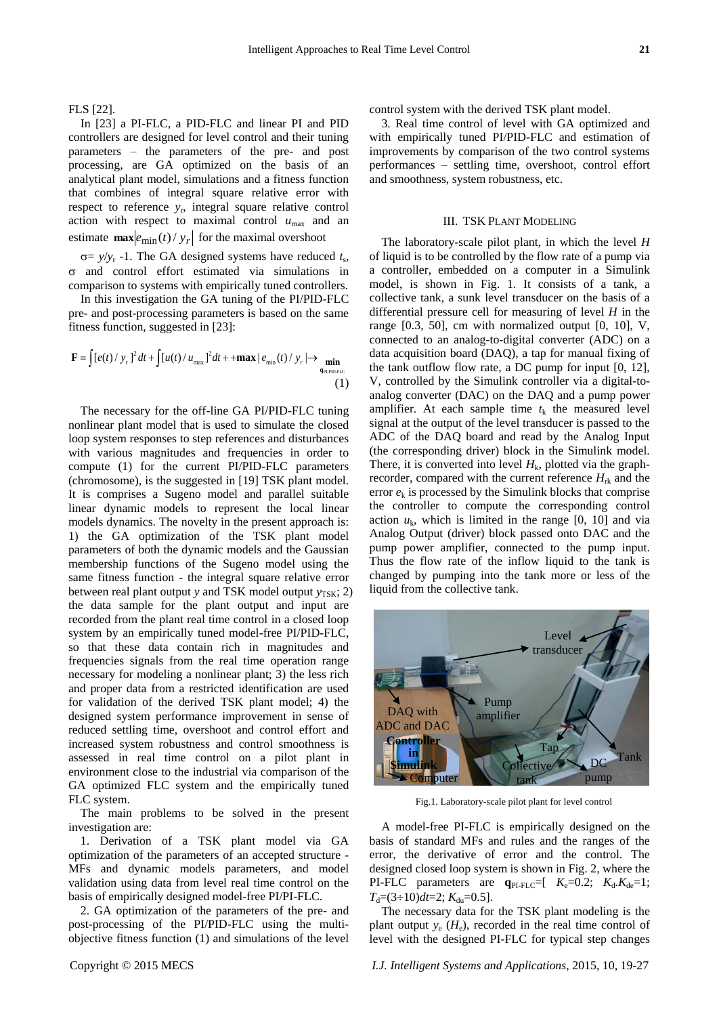FLS [22].

In [23] a PI-FLC, a PID-FLC and linear PI and PID controllers are designed for level control and their tuning parameters – the parameters of the pre- and post processing, are GA optimized on the basis of an analytical plant model, simulations and a fitness function that combines of integral square relative error with respect to reference *y*<sup>r</sup> , integral square relative control action with respect to maximal control *u*max and an estimate  $\max |e_{\min}(t)/y_r|$  for the maximal overshoot

 $\sigma = y/y_r$  -1. The GA designed systems have reduced  $t_s$ ,  $\sigma$  and control effort estimated via simulations in comparison to systems with empirically tuned controllers.

In this investigation the GA tuning of the PI/PID-FLC

pre- and post-processing parameters is based on the same  
\nfitness function, suggested in [23]:  
\n
$$
\mathbf{F} = \int [e(t)/y_r]^2 dt + \int [u(t)/u_{\text{max}}]^2 dt + + \max |e_{\text{min}}(t)/y_r| \rightarrow \min_{q_{\text{PPPDEC}}} \tag{1}
$$

The necessary for the off-line GA PI/PID-FLC tuning nonlinear plant model that is used to simulate the closed loop system responses to step references and disturbances with various magnitudes and frequencies in order to compute (1) for the current PI/PID-FLC parameters (chromosome), is the suggested in [19] TSK plant model. It is comprises a Sugeno model and parallel suitable linear dynamic models to represent the local linear models dynamics. The novelty in the present approach is: 1) the GA optimization of the TSK plant model parameters of both the dynamic models and the Gaussian membership functions of the Sugeno model using the same fitness function - the integral square relative error between real plant output *y* and TSK model output  $y_{TSK}$ ; 2) the data sample for the plant output and input are recorded from the plant real time control in a closed loop system by an empirically tuned model-free PI/PID-FLC, so that these data contain rich in magnitudes and frequencies signals from the real time operation range necessary for modeling a nonlinear plant; 3) the less rich and proper data from a restricted identification are used for validation of the derived TSK plant model; 4) the designed system performance improvement in sense of reduced settling time, overshoot and control effort and increased system robustness and control smoothness is assessed in real time control on a pilot plant in environment close to the industrial via comparison of the GA optimized FLC system and the empirically tuned FLC system.

The main problems to be solved in the present investigation are:

1. Derivation of a TSK plant model via GA optimization of the parameters of an accepted structure - MFs and dynamic models parameters, and model validation using data from level real time control on the basis of empirically designed model-free PI/PI-FLC.

2. GA optimization of the parameters of the pre- and post-processing of the PI/PID-FLC using the multiobjective fitness function (1) and simulations of the level control system with the derived TSK plant model.

3. Real time control of level with GA optimized and with empirically tuned PI/PID-FLC and estimation of improvements by comparison of the two control systems performances – settling time, overshoot, control effort and smoothness, system robustness, etc.

### III. TSK PLANT MODELING

The laboratory-scale pilot plant, in which the level *H* of liquid is to be controlled by the flow rate of a pump via a controller, embedded on a computer in a Simulink model, is shown in Fig. 1. It consists of a tank, a collective tank, a sunk level transducer on the basis of a differential pressure cell for measuring of level *H* in the range  $[0.3, 50]$ , cm with normalized output  $[0, 10]$ , V, connected to an analog-to-digital converter (ADC) on a data acquisition board (DAQ), a tap for manual fixing of the tank outflow flow rate, a DC pump for input [0, 12], V, controlled by the Simulink controller via a digital-toanalog converter (DAC) on the DAQ and a pump power amplifier. At each sample time  $t_k$  the measured level signal at the output of the level transducer is passed to the ADC of the DAQ board and read by the Analog Input (the corresponding driver) block in the Simulink model. There, it is converted into level  $H_k$ , plotted via the graphrecorder, compared with the current reference  $H_{\text{rk}}$  and the error  $e_k$  is processed by the Simulink blocks that comprise the controller to compute the corresponding control action  $u_k$ , which is limited in the range  $[0, 10]$  and via Analog Output (driver) block passed onto DAC and the pump power amplifier, connected to the pump input. Thus the flow rate of the inflow liquid to the tank is changed by pumping into the tank more or less of the liquid from the collective tank.



Fig.1. Laboratory-scale pilot plant for level control

A model-free PI-FLC is empirically designed on the basis of standard MFs and rules and the ranges of the error, the derivative of error and the control. The designed closed loop system is shown in Fig. 2, where the PI-FLC parameters are  $q_{PI\text{-}FLC}=[K_{e}=0.2; K_{d}.K_{de}=1;$  $T<sub>d</sub> = (3 \div 10)dt = 2$ ;  $K<sub>du</sub> = 0.5$ ].

The necessary data for the TSK plant modeling is the plant output  $y_e$  ( $H_e$ ), recorded in the real time control of level with the designed PI-FLC for typical step changes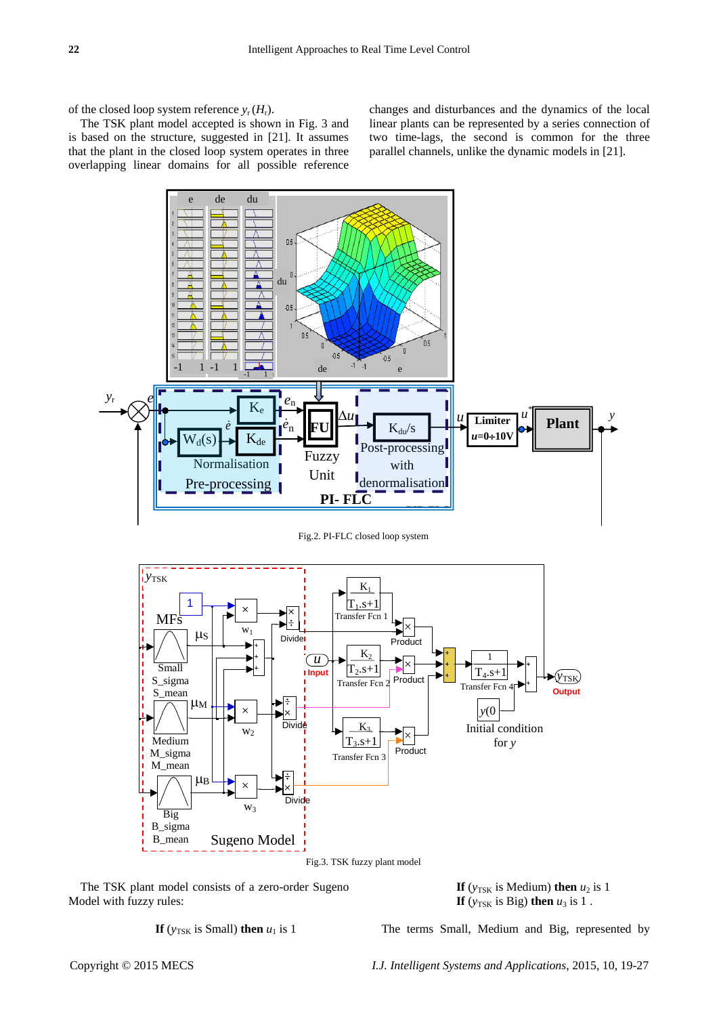of the closed loop system reference  $y_r$  ( $H_r$ ).

The TSK plant model accepted is shown in Fig. 3 and is based on the structure, suggested in [21]. It assumes that the plant in the closed loop system operates in three overlapping linear domains for all possible reference changes and disturbances and the dynamics of the local linear plants can be represented by a series connection of two time-lags, the second is common for the three parallel channels, unlike the dynamic models in [21].



Fig.2. PI-FLC closed loop system



The TSK plant model consists of a zero-order Sugeno Model with fuzzy rules:

**If** ( $y_{\text{TSK}}$  is Medium) **then**  $u_2$  is 1 **If** ( $y_{TSK}$  is Big) **then**  $u_3$  is 1.

**If** ( $y_{\text{TSK}}$  is Small) **then**  $u_1$  is 1

The terms Small, Medium and Big, represented by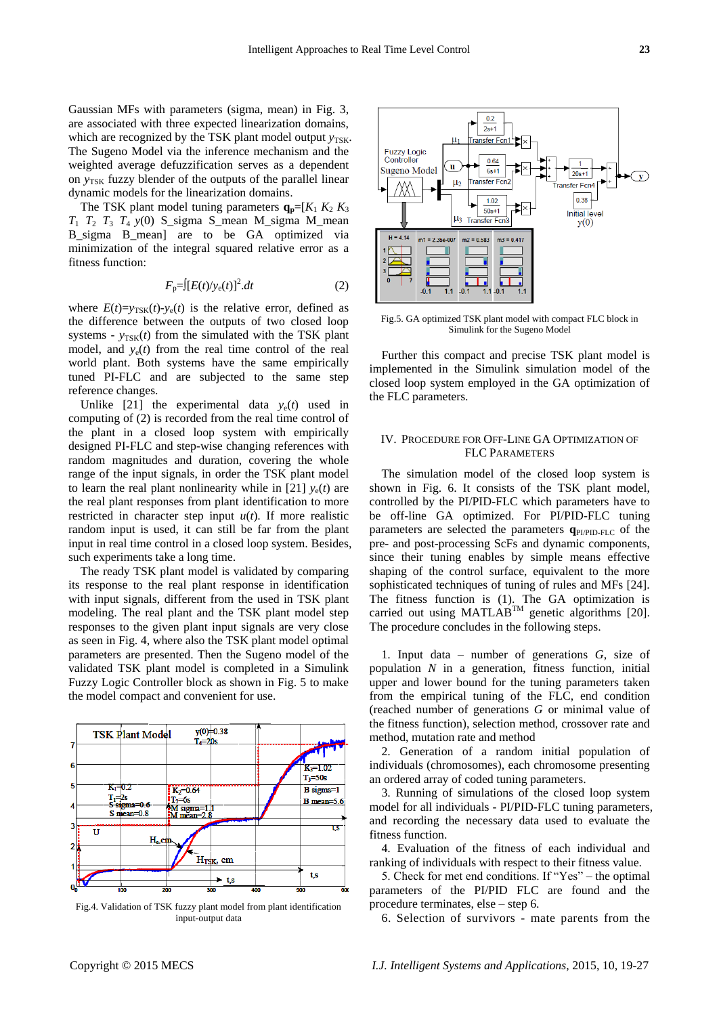Gaussian MFs with parameters (sigma, mean) in Fig. 3, are associated with three expected linearization domains, which are recognized by the TSK plant model output  $y_{TSK}$ . The Sugeno Model via the inference mechanism and the weighted average defuzzification serves as a dependent on *y*<sub>TSK</sub> fuzzy blender of the outputs of the parallel linear dynamic models for the linearization domains.

The TSK plant model tuning parameters  $q_p = [K_1 \ K_2 \ K_3]$  $T_1$   $T_2$   $T_3$   $T_4$   $y(0)$  S\_sigma S\_mean M\_sigma M\_mean B sigma B mean] are to be GA optimized via minimization of the integral squared relative error as a fitness function:

$$
F_{\mathbf{p}} = \left[ \left[ E(t) / y_{\mathbf{e}}(t) \right]^2 \right] dt \tag{2}
$$

where  $E(t)=v_{\text{TSK}}(t)-v_{\text{e}}(t)$  is the relative error, defined as the difference between the outputs of two closed loop systems -  $y_{TSK}(t)$  from the simulated with the TSK plant model, and  $y_e(t)$  from the real time control of the real world plant. Both systems have the same empirically tuned PI-FLC and are subjected to the same step reference changes.

Unlike [21] the experimental data  $y_e(t)$  used in computing of (2) is recorded from the real time control of the plant in a closed loop system with empirically designed PI-FLC and step-wise changing references with random magnitudes and duration, covering the whole range of the input signals, in order the TSK plant model to learn the real plant nonlinearity while in [21]  $y_e(t)$  are the real plant responses from plant identification to more restricted in character step input  $u(t)$ . If more realistic random input is used, it can still be far from the plant input in real time control in a closed loop system. Besides, such experiments take a long time.

The ready TSK plant model is validated by comparing its response to the real plant response in identification with input signals, different from the used in TSK plant modeling. The real plant and the TSK plant model step responses to the given plant input signals are very close as seen in Fig. 4, where also the TSK plant model optimal parameters are presented. Then the Sugeno model of the validated TSK plant model is completed in a Simulink Fuzzy Logic Controller block as shown in Fig. 5 to make the model compact and convenient for use.



Fig.4. Validation of TSK fuzzy plant model from plant identification input-output data



Fig.5. GA optimized TSK plant model with compact FLC block in Simulink for the Sugeno Model

Further this compact and precise TSK plant model is implemented in the Simulink simulation model of the closed loop system employed in the GA optimization of the FLC parameters.

## IV. PROCEDURE FOR OFF-LINE GA OPTIMIZATION OF FLC PARAMETERS

The simulation model of the closed loop system is shown in Fig. 6. It consists of the TSK plant model, controlled by the PI/PID-FLC which parameters have to be off-line GA optimized. For PI/PID-FLC tuning parameters are selected the parameters  $q_{\text{PIPID-FLC}}$  of the pre- and post-processing ScFs and dynamic components, since their tuning enables by simple means effective shaping of the control surface, equivalent to the more sophisticated techniques of tuning of rules and MFs [24]. The fitness function is (1). The GA optimization is carried out using MATLAB<sup>TM</sup> genetic algorithms [20]. The procedure concludes in the following steps.

1. Input data – number of generations *G*, size of population *N* in a generation, fitness function, initial upper and lower bound for the tuning parameters taken from the empirical tuning of the FLC, end condition (reached number of generations *G* or minimal value of the fitness function), selection method, crossover rate and method, mutation rate and method

2. Generation of a random initial population of individuals (chromosomes), each chromosome presenting an ordered array of coded tuning parameters.

3. Running of simulations of the closed loop system model for all individuals - PI/PID-FLC tuning parameters, and recording the necessary data used to evaluate the fitness function.

4. Evaluation of the fitness of each individual and ranking of individuals with respect to their fitness value.

5. Check for met end conditions. If " $Yes$ " – the optimal parameters of the PI/PID FLC are found and the procedure terminates, else – step 6.

6. Selection of survivors - mate parents from the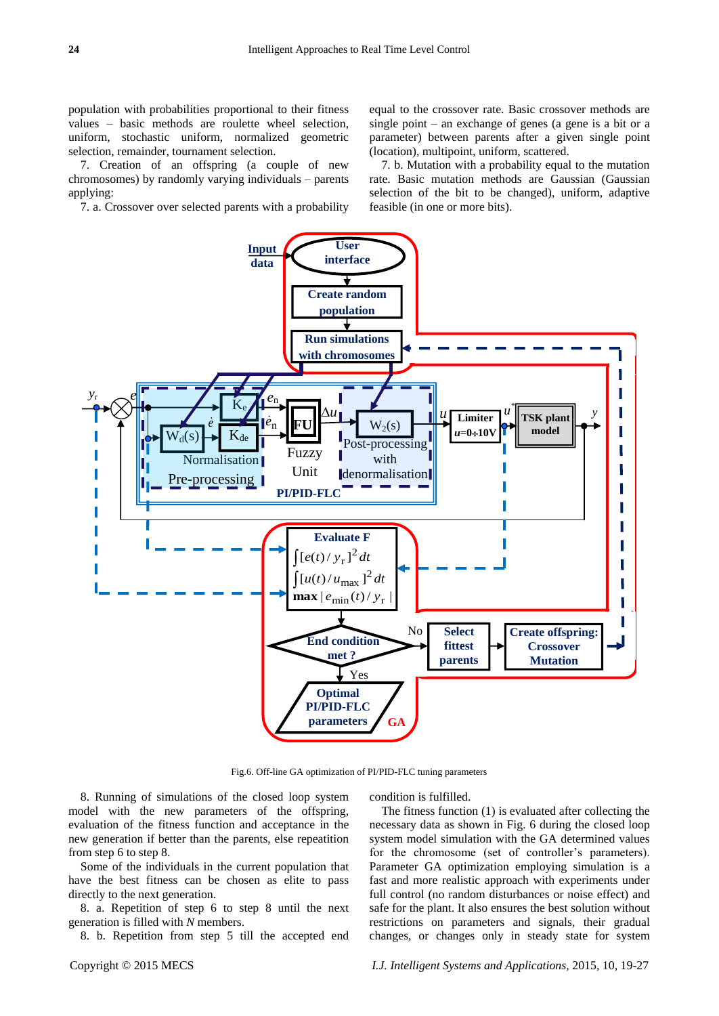population with probabilities proportional to their fitness values – basic methods are roulette wheel selection, uniform, stochastic uniform, normalized geometric selection, remainder, tournament selection.

7. Creation of an offspring (a couple of new chromosomes) by randomly varying individuals – parents applying:

7. a. Crossover over selected parents with a probability

equal to the crossover rate. Basic crossover methods are single point – an exchange of genes (a gene is a bit or a parameter) between parents after a given single point (location), multipoint, uniform, scattered.

7. b. Mutation with a probability equal to the mutation rate. Basic mutation methods are Gaussian (Gaussian selection of the bit to be changed), uniform, adaptive feasible (in one or more bits).



Fig.6. Off-line GA optimization of PI/PID-FLC tuning parameters

8. Running of simulations of the closed loop system model with the new parameters of the offspring, evaluation of the fitness function and acceptance in the new generation if better than the parents, else repeatition from step 6 to step 8.

Some of the individuals in the current population that have the best fitness can be chosen as elite to pass directly to the next generation.

8. a. Repetition of step 6 to step 8 until the next generation is filled with *N* members.

8. b. Repetition from step 5 till the accepted end

condition is fulfilled.

The fitness function (1) is evaluated after collecting the necessary data as shown in Fig. 6 during the closed loop system model simulation with the GA determined values for the chromosome (set of controller's parameters). Parameter GA optimization employing simulation is a fast and more realistic approach with experiments under full control (no random disturbances or noise effect) and safe for the plant. It also ensures the best solution without restrictions on parameters and signals, their gradual changes, or changes only in steady state for system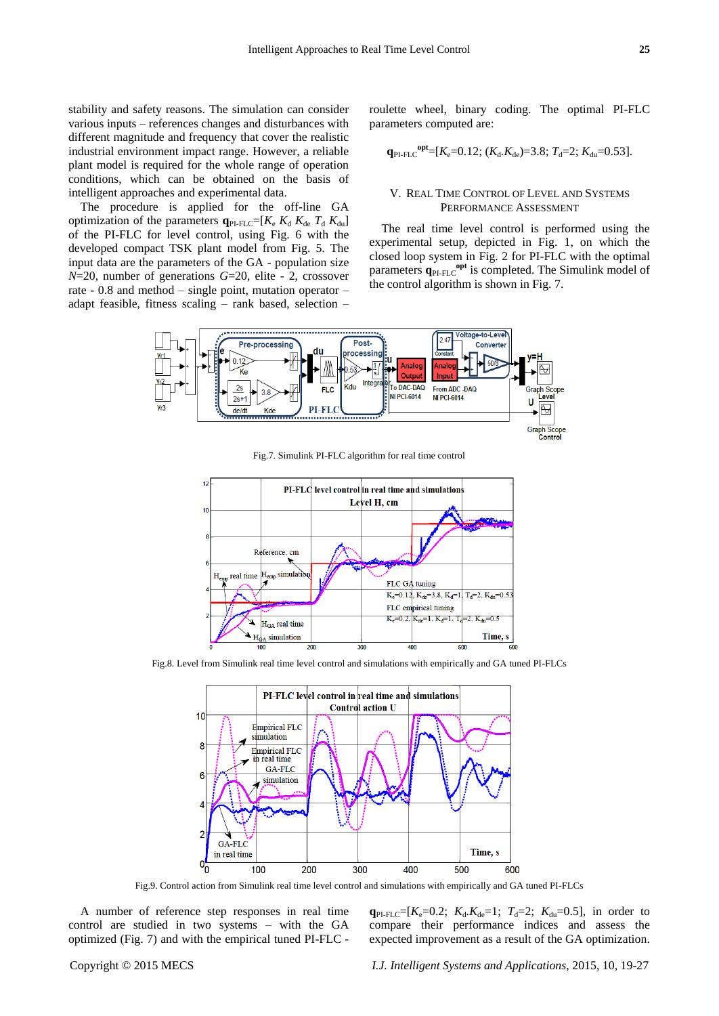The procedure is applied for the off-line GA optimization of the parameters  $q_{PI\text{-}FLC}=[K_{\text{e}} \ K_{\text{d}} \ K_{\text{de}} \ T_{\text{d}} \ K_{\text{du}}]$ of the PI-FLC for level control, using Fig. 6 with the developed compact TSK plant model from Fig. 5. The input data are the parameters of the GA - population size *N*=20, number of generations *G*=20, elite - 2, crossover rate - 0.8 and method – single point, mutation operator – adapt feasible, fitness scaling – rank based, selection – roulette wheel, binary coding. The optimal PI-FLC parameters computed are:

$$
\mathbf{q}_{\text{PI-FLC}}^{\text{opt}}=[K_{\text{e}}=0.12; (K_{\text{d}}.K_{\text{de}})=3.8; T_{\text{d}}=2; K_{\text{du}}=0.53].
$$

## V. REAL TIME CONTROL OF LEVEL AND SYSTEMS PERFORMANCE ASSESSMENT

The real time level control is performed using the experimental setup, depicted in Fig. 1, on which the closed loop system in Fig. 2 for PI-FLC with the optimal parameters  $q_{PI\text{-}FLC}^{\text{opt}}$  is completed. The Simulink model of the control algorithm is shown in Fig. 7.



Fig.7. Simulink PI-FLC algorithm for real time control



Fig.8. Level from Simulink real time level control and simulations with empirically and GA tuned PI-FLCs



Fig.9. Control action from Simulink real time level control and simulations with empirically and GA tuned PI-FLCs

A number of reference step responses in real time control are studied in two systems – with the GA optimized (Fig. 7) and with the empirical tuned PI-FLC -  $q_{PI\text{-}FLC}=[K_{e}=0.2; K_{d}.K_{de}=1; T_{d}=2; K_{du}=0.5]$ , in order to compare their performance indices and assess the expected improvement as a result of the GA optimization.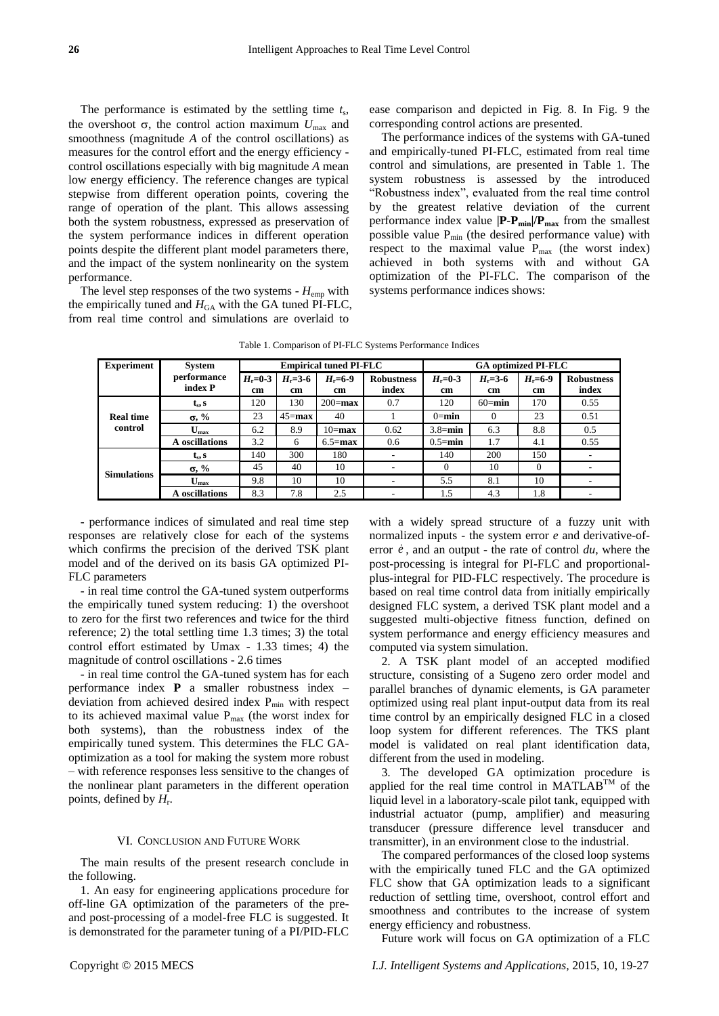The performance is estimated by the settling time *t*<sup>s</sup> , the overshoot  $\sigma$ , the control action maximum  $U_{\text{max}}$  and smoothness (magnitude *A* of the control oscillations) as measures for the control effort and the energy efficiency control oscillations especially with big magnitude *A* mean low energy efficiency. The reference changes are typical stepwise from different operation points, covering the range of operation of the plant. This allows assessing both the system robustness, expressed as preservation of the system performance indices in different operation points despite the different plant model parameters there, and the impact of the system nonlinearity on the system performance.

The level step responses of the two systems - *H*emp with the empirically tuned and  $H<sub>GA</sub>$  with the GA tuned PI-FLC, from real time control and simulations are overlaid to

ease comparison and depicted in Fig. 8. In Fig. 9 the corresponding control actions are presented.

The performance indices of the systems with GA-tuned and empirically-tuned PI-FLC, estimated from real time control and simulations, are presented in Table 1. The system robustness is assessed by the introduced ―Robustness index‖, evaluated from the real time control by the greatest relative deviation of the current performance index value **|P-Pmin|/Pmax** from the smallest possible value  $P_{min}$  (the desired performance value) with respect to the maximal value  $P_{max}$  (the worst index) achieved in both systems with and without GA optimization of the PI-FLC. The comparison of the systems performance indices shows:

| <b>Experiment</b>           | System                    | <b>Empirical tuned PI-FLC</b> |                     |                              |                            | <b>GA optimized PI-FLC</b> |                     |                   |                            |
|-----------------------------|---------------------------|-------------------------------|---------------------|------------------------------|----------------------------|----------------------------|---------------------|-------------------|----------------------------|
|                             | performance<br>index P    | $H = 0-3$<br>cm               | $H_r = 3 - 6$<br>cm | $H_r = 6-9$<br><sub>cm</sub> | <b>Robustness</b><br>index | $H_r = 0.3$<br>cm          | $H_r = 3 - 6$<br>cm | $H_r = 6-9$<br>cm | <b>Robustness</b><br>index |
| <b>Real time</b><br>control | $t_s$ , s                 | 120                           | 130                 | $200 = max$                  | 0.7                        | 120                        | $60$ =min           | 170               | 0.55                       |
|                             | $\sigma$ , %              | 23                            | $45 = max$          | 40                           |                            | $0 = min$                  | $\Omega$            | 23                | 0.51                       |
|                             | $U_{\rm max}$             | 6.2                           | 8.9                 | $10 = max$                   | 0.62                       | $3.8 = min$                | 6.3                 | 8.8               | 0.5                        |
|                             | A oscillations            | 3.2                           | 6                   | $6.5 = max$                  | 0.6                        | $0.5 = min$                | 1.7                 | 4.1               | 0.55                       |
| <b>Simulations</b>          | $t_s$ , s                 | 140                           | 300                 | 180                          |                            | 140                        | 200                 | 150               |                            |
|                             | $\sigma$ , %              | 45                            | 40                  | 10                           |                            | $\Omega$                   | 10                  | $\Omega$          |                            |
|                             | $\mathbf{U}_{\text{max}}$ | 9.8                           | 10                  | 10                           | ۰                          | 5.5                        | 8.1                 | 10                |                            |
|                             | A oscillations            | 8.3                           | 7.8                 | 2.5                          | ۰                          | 1.5                        | 4.3                 | 1.8               |                            |

Table 1. Comparison of PI-FLC Systems Performance Indices

- performance indices of simulated and real time step responses are relatively close for each of the systems which confirms the precision of the derived TSK plant model and of the derived on its basis GA optimized PI-FLC parameters

- in real time control the GA-tuned system outperforms the empirically tuned system reducing: 1) the overshoot to zero for the first two references and twice for the third reference; 2) the total settling time 1.3 times; 3) the total control effort estimated by Umax - 1.33 times; 4) the magnitude of control oscillations - 2.6 times

- in real time control the GA-tuned system has for each performance index **P** a smaller robustness index – deviation from achieved desired index  $P_{min}$  with respect to its achieved maximal value  $P_{\text{max}}$  (the worst index for both systems), than the robustness index of the empirically tuned system. This determines the FLC GAoptimization as a tool for making the system more robust – with reference responses less sensitive to the changes of the nonlinear plant parameters in the different operation points, defined by *H*<sup>r</sup> .

## VI. CONCLUSION AND FUTURE WORK

The main results of the present research conclude in the following.

1. An easy for engineering applications procedure for off-line GA optimization of the parameters of the preand post-processing of a model-free FLC is suggested. It is demonstrated for the parameter tuning of a PI/PID-FLC with a widely spread structure of a fuzzy unit with normalized inputs - the system error *e* and derivative-oferror  $\dot{e}$ , and an output - the rate of control  $du$ , where the post-processing is integral for PI-FLC and proportionalplus-integral for PID-FLC respectively. The procedure is based on real time control data from initially empirically designed FLC system, a derived TSK plant model and a suggested multi-objective fitness function, defined on system performance and energy efficiency measures and computed via system simulation.

2. A TSK plant model of an accepted modified structure, consisting of a Sugeno zero order model and parallel branches of dynamic elements, is GA parameter optimized using real plant input-output data from its real time control by an empirically designed FLC in a closed loop system for different references. The TKS plant model is validated on real plant identification data, different from the used in modeling.

3. The developed GA optimization procedure is applied for the real time control in  $MATLAB^{TM}$  of the liquid level in a laboratory-scale pilot tank, equipped with industrial actuator (pump, amplifier) and measuring transducer (pressure difference level transducer and transmitter), in an environment close to the industrial.

The compared performances of the closed loop systems with the empirically tuned FLC and the GA optimized FLC show that GA optimization leads to a significant reduction of settling time, overshoot, control effort and smoothness and contributes to the increase of system energy efficiency and robustness.

Future work will focus on GA optimization of a FLC